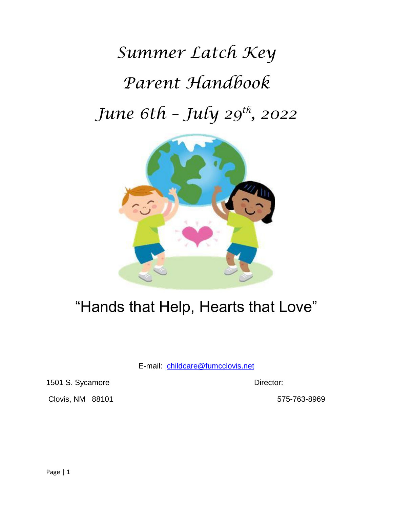*Summer Latch Key Parent Handbook June 6th – July 29th , 2022*



# "Hands that Help, Hearts that Love"

E-mail: [childcare@fumcclovis.net](mailto:childcare@fumcclovis.net)

1501 S. Sycamore Director:

Clovis, NM 88101 575-763-8969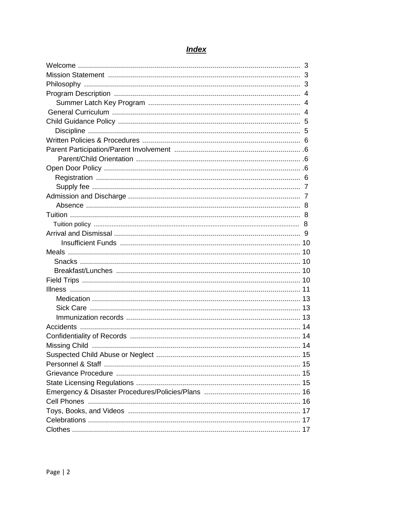| 14 |  |
|----|--|
|    |  |
|    |  |
|    |  |
|    |  |
|    |  |
|    |  |
|    |  |
|    |  |
|    |  |
|    |  |

# **Index**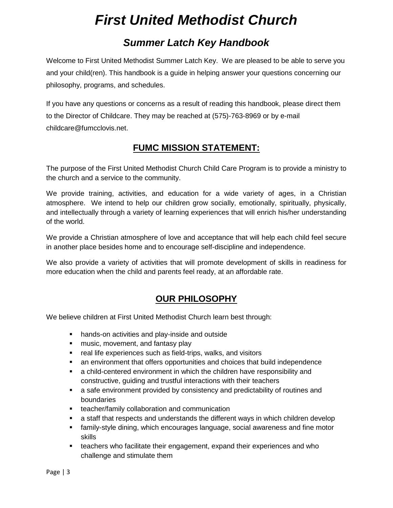# *First United Methodist Church*

# *Summer Latch Key Handbook*

Welcome to First United Methodist Summer Latch Key. We are pleased to be able to serve you and your child(ren). This handbook is a guide in helping answer your questions concerning our philosophy, programs, and schedules.

If you have any questions or concerns as a result of reading this handbook, please direct them to the Director of Childcare. They may be reached at (575)-763-8969 or by e-mail childcare@fumcclovis.net.

# **FUMC MISSION STATEMENT:**

The purpose of the First United Methodist Church Child Care Program is to provide a ministry to the church and a service to the community.

We provide training, activities, and education for a wide variety of ages, in a Christian atmosphere. We intend to help our children grow socially, emotionally, spiritually, physically, and intellectually through a variety of learning experiences that will enrich his/her understanding of the world.

We provide a Christian atmosphere of love and acceptance that will help each child feel secure in another place besides home and to encourage self-discipline and independence.

We also provide a variety of activities that will promote development of skills in readiness for more education when the child and parents feel ready, at an affordable rate.

# **OUR PHILOSOPHY**

We believe children at First United Methodist Church learn best through:

- hands-on activities and play-inside and outside
- **■** music, movement, and fantasy play
- real life experiences such as field-trips, walks, and visitors
- an environment that offers opportunities and choices that build independence
- **•** a child-centered environment in which the children have responsibility and constructive, guiding and trustful interactions with their teachers
- a safe environment provided by consistency and predictability of routines and boundaries
- **■** teacher/family collaboration and communication
- a staff that respects and understands the different ways in which children develop
- family-style dining, which encourages language, social awareness and fine motor skills
- **EXE** teachers who facilitate their engagement, expand their experiences and who challenge and stimulate them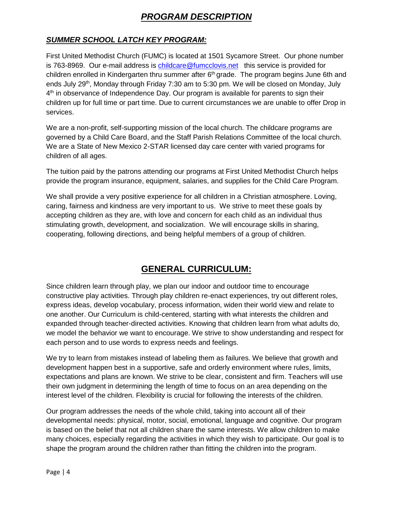# *PROGRAM DESCRIPTION*

# *SUMMER SCHOOL LATCH KEY PROGRAM:*

First United Methodist Church (FUMC) is located at 1501 Sycamore Street. Our phone number is 763-8969. Our e-mail address is [childcare@fumcclovis.net](mailto:childcare@fumcclovis.net) this service is provided for children enrolled in Kindergarten thru summer after 6<sup>th</sup> grade. The program begins June 6th and ends July 29<sup>th</sup>, Monday through Friday 7:30 am to 5:30 pm. We will be closed on Monday, July 4<sup>th</sup> in observance of Independence Day. Our program is available for parents to sign their children up for full time or part time. Due to current circumstances we are unable to offer Drop in services.

We are a non-profit, self-supporting mission of the local church. The childcare programs are governed by a Child Care Board, and the Staff Parish Relations Committee of the local church. We are a State of New Mexico 2-STAR licensed day care center with varied programs for children of all ages.

The tuition paid by the patrons attending our programs at First United Methodist Church helps provide the program insurance, equipment, salaries, and supplies for the Child Care Program.

We shall provide a very positive experience for all children in a Christian atmosphere. Loving, caring, fairness and kindness are very important to us. We strive to meet these goals by accepting children as they are, with love and concern for each child as an individual thus stimulating growth, development, and socialization. We will encourage skills in sharing, cooperating, following directions, and being helpful members of a group of children.

# **GENERAL CURRICULUM:**

Since children learn through play, we plan our indoor and outdoor time to encourage constructive play activities. Through play children re-enact experiences, try out different roles, express ideas, develop vocabulary, process information, widen their world view and relate to one another. Our Curriculum is child-centered, starting with what interests the children and expanded through teacher-directed activities. Knowing that children learn from what adults do, we model the behavior we want to encourage. We strive to show understanding and respect for each person and to use words to express needs and feelings.

We try to learn from mistakes instead of labeling them as failures. We believe that growth and development happen best in a supportive, safe and orderly environment where rules, limits, expectations and plans are known. We strive to be clear, consistent and firm. Teachers will use their own judgment in determining the length of time to focus on an area depending on the interest level of the children. Flexibility is crucial for following the interests of the children.

Our program addresses the needs of the whole child, taking into account all of their developmental needs: physical, motor, social, emotional, language and cognitive. Our program is based on the belief that not all children share the same interests. We allow children to make many choices, especially regarding the activities in which they wish to participate. Our goal is to shape the program around the children rather than fitting the children into the program.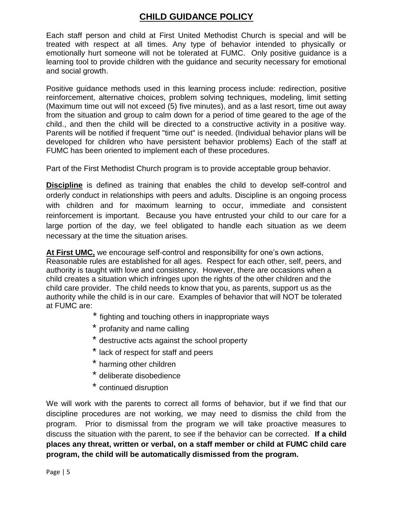# **CHILD GUIDANCE POLICY**

Each staff person and child at First United Methodist Church is special and will be treated with respect at all times. Any type of behavior intended to physically or emotionally hurt someone will not be tolerated at FUMC. Only positive guidance is a learning tool to provide children with the guidance and security necessary for emotional and social growth.

Positive guidance methods used in this learning process include: redirection, positive reinforcement, alternative choices, problem solving techniques, modeling, limit setting (Maximum time out will not exceed (5) five minutes), and as a last resort, time out away from the situation and group to calm down for a period of time geared to the age of the child., and then the child will be directed to a constructive activity in a positive way. Parents will be notified if frequent "time out" is needed. (Individual behavior plans will be developed for children who have persistent behavior problems) Each of the staff at FUMC has been oriented to implement each of these procedures.

Part of the First Methodist Church program is to provide acceptable group behavior.

**Discipline** is defined as training that enables the child to develop self-control and orderly conduct in relationships with peers and adults. Discipline is an ongoing process with children and for maximum learning to occur, immediate and consistent reinforcement is important. Because you have entrusted your child to our care for a large portion of the day, we feel obligated to handle each situation as we deem necessary at the time the situation arises.

**At First UMC,** we encourage self-control and responsibility for one's own actions, Reasonable rules are established for all ages. Respect for each other, self, peers, and authority is taught with love and consistency. However, there are occasions when a child creates a situation which infringes upon the rights of the other children and the child care provider. The child needs to know that you, as parents, support us as the authority while the child is in our care. Examples of behavior that will NOT be tolerated at FUMC are:

- \* fighting and touching others in inappropriate ways
- \* profanity and name calling
- \* destructive acts against the school property
- \* lack of respect for staff and peers
- harming other children
- deliberate disobedience
- \* continued disruption

We will work with the parents to correct all forms of behavior, but if we find that our discipline procedures are not working, we may need to dismiss the child from the program. Prior to dismissal from the program we will take proactive measures to discuss the situation with the parent, to see if the behavior can be corrected. **If a child places any threat, written or verbal, on a staff member or child at FUMC child care program, the child will be automatically dismissed from the program.**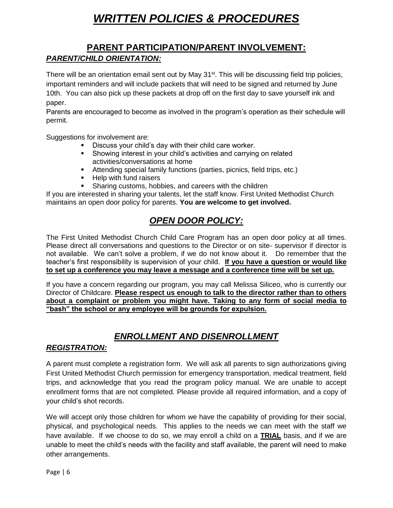# *WRITTEN POLICIES & PROCEDURES*

# **PARENT PARTICIPATION/PARENT INVOLVEMENT:** *PARENT/CHILD ORIENTATION:*

There will be an orientation email sent out by May 31<sup>st</sup>. This will be discussing field trip policies, important reminders and will include packets that will need to be signed and returned by June 10th. You can also pick up these packets at drop off on the first day to save yourself ink and paper.

Parents are encouraged to become as involved in the program's operation as their schedule will permit.

Suggestions for involvement are:

- Discuss your child's day with their child care worker.
- Showing interest in your child's activities and carrying on related activities/conversations at home
- **EXECT** Attending special family functions (parties, picnics, field trips, etc.)
- Help with fund raisers
- Sharing customs, hobbies, and careers with the children

If you are interested in sharing your talents, let the staff know. First United Methodist Church maintains an open door policy for parents. **You are welcome to get involved.**

# *OPEN DOOR POLICY:*

The First United Methodist Church Child Care Program has an open door policy at all times. Please direct all conversations and questions to the Director or on site- supervisor if director is not available. We can't solve a problem, if we do not know about it. Do remember that the teacher's first responsibility is supervision of your child. **If you have a question or would like to set up a conference you may leave a message and a conference time will be set up.** 

If you have a concern regarding our program, you may call Melissa Siliceo, who is currently our Director of Childcare. **Please respect us enough to talk to the director rather than to others about a complaint or problem you might have. Taking to any form of social media to "bash" the school or any employee will be grounds for expulsion.**

# *ENROLLMENT AND DISENROLLMENT*

## *REGISTRATION:*

A parent must complete a registration form. We will ask all parents to sign authorizations giving First United Methodist Church permission for emergency transportation, medical treatment, field trips, and acknowledge that you read the program policy manual. We are unable to accept enrollment forms that are not completed. Please provide all required information, and a copy of your child's shot records.

We will accept only those children for whom we have the capability of providing for their social, physical, and psychological needs. This applies to the needs we can meet with the staff we have available. If we choose to do so, we may enroll a child on a **TRIAL** basis, and if we are unable to meet the child's needs with the facility and staff available, the parent will need to make other arrangements.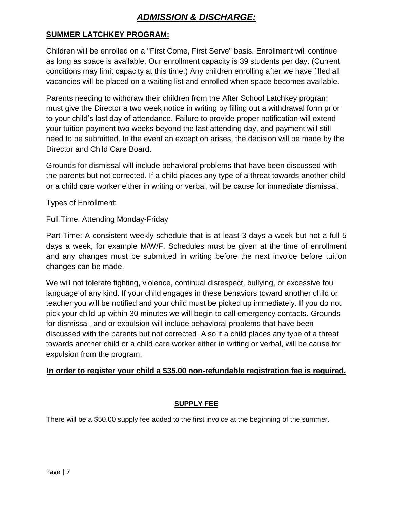# *ADMISSION & DISCHARGE:*

## **SUMMER LATCHKEY PROGRAM:**

Children will be enrolled on a "First Come, First Serve" basis. Enrollment will continue as long as space is available. Our enrollment capacity is 39 students per day. (Current conditions may limit capacity at this time.) Any children enrolling after we have filled all vacancies will be placed on a waiting list and enrolled when space becomes available.

Parents needing to withdraw their children from the After School Latchkey program must give the Director a two week notice in writing by filling out a withdrawal form prior to your child's last day of attendance. Failure to provide proper notification will extend your tuition payment two weeks beyond the last attending day, and payment will still need to be submitted. In the event an exception arises, the decision will be made by the Director and Child Care Board.

Grounds for dismissal will include behavioral problems that have been discussed with the parents but not corrected. If a child places any type of a threat towards another child or a child care worker either in writing or verbal, will be cause for immediate dismissal.

Types of Enrollment:

Full Time: Attending Monday-Friday

Part-Time: A consistent weekly schedule that is at least 3 days a week but not a full 5 days a week, for example M/W/F. Schedules must be given at the time of enrollment and any changes must be submitted in writing before the next invoice before tuition changes can be made.

We will not tolerate fighting, violence, continual disrespect, bullying, or excessive foul language of any kind. If your child engages in these behaviors toward another child or teacher you will be notified and your child must be picked up immediately. If you do not pick your child up within 30 minutes we will begin to call emergency contacts. Grounds for dismissal, and or expulsion will include behavioral problems that have been discussed with the parents but not corrected. Also if a child places any type of a threat towards another child or a child care worker either in writing or verbal, will be cause for expulsion from the program.

## **In order to register your child a \$35.00 non-refundable registration fee is required.**

#### **SUPPLY FEE**

There will be a \$50.00 supply fee added to the first invoice at the beginning of the summer.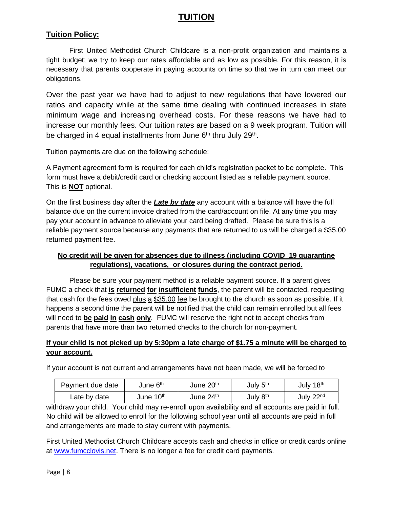# **TUITION**

## **Tuition Policy:**

First United Methodist Church Childcare is a non-profit organization and maintains a tight budget; we try to keep our rates affordable and as low as possible. For this reason, it is necessary that parents cooperate in paying accounts on time so that we in turn can meet our obligations.

Over the past year we have had to adjust to new regulations that have lowered our ratios and capacity while at the same time dealing with continued increases in state minimum wage and increasing overhead costs. For these reasons we have had to increase our monthly fees. Our tuition rates are based on a 9 week program. Tuition will be charged in 4 equal installments from June 6<sup>th</sup> thru July 29<sup>th</sup>.

Tuition payments are due on the following schedule:

A Payment agreement form is required for each child's registration packet to be complete. This form must have a debit/credit card or checking account listed as a reliable payment source. This is **NOT** optional.

On the first business day after the *Late by date* any account with a balance will have the full balance due on the current invoice drafted from the card/account on file. At any time you may pay your account in advance to alleviate your card being drafted. Please be sure this is a reliable payment source because any payments that are returned to us will be charged a \$35.00 returned payment fee.

#### **No credit will be given for absences due to illness (including COVID 19 quarantine regulations), vacations, or closures during the contract period.**

Please be sure your payment method is a reliable payment source. If a parent gives FUMC a check that **is returned for insufficient funds**, the parent will be contacted, requesting that cash for the fees owed plus a \$35.00 fee be brought to the church as soon as possible. If it happens a second time the parent will be notified that the child can remain enrolled but all fees will need to **be paid in cash only**. FUMC will reserve the right not to accept checks from parents that have more than two returned checks to the church for non-payment.

#### **If your child is not picked up by 5:30pm a late charge of \$1.75 a minute will be charged to your account***.*

If your account is not current and arrangements have not been made, we will be forced to

| Payment due date | June 6 <sup>th</sup>  | June 20 <sup>th</sup> | July 5 <sup>th</sup> | July 18 <sup>th</sup> |
|------------------|-----------------------|-----------------------|----------------------|-----------------------|
| Late by date     | June 10 <sup>th</sup> | June 24th             | July 8 <sup>th</sup> | July 22 <sup>nd</sup> |

withdraw your child. Your child may re-enroll upon availability and all accounts are paid in full. No child will be allowed to enroll for the following school year until all accounts are paid in full and arrangements are made to stay current with payments.

First United Methodist Church Childcare accepts cash and checks in office or credit cards online at [www.fumcclovis.net.](http://www.fumcclovis.net/) There is no longer a fee for credit card payments.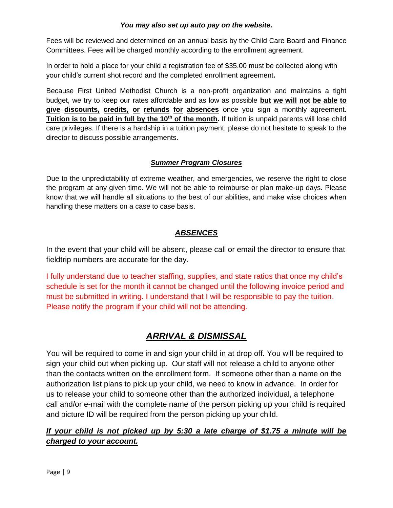#### *You may also set up auto pay on the website.*

Fees will be reviewed and determined on an annual basis by the Child Care Board and Finance Committees. Fees will be charged monthly according to the enrollment agreement.

In order to hold a place for your child a registration fee of \$35.00 must be collected along with your child's current shot record and the completed enrollment agreement**.** 

Because First United Methodist Church is a non-profit organization and maintains a tight budget, we try to keep our rates affordable and as low as possible **but we will not be able to give discounts, credits, or refunds for absences** once you sign a monthly agreement. **Tuition is to be paid in full by the 10<sup>th</sup> of the month.** If tuition is unpaid parents will lose child care privileges. If there is a hardship in a tuition payment, please do not hesitate to speak to the director to discuss possible arrangements.

#### *Summer Program Closures*

Due to the unpredictability of extreme weather, and emergencies, we reserve the right to close the program at any given time. We will not be able to reimburse or plan make-up days. Please know that we will handle all situations to the best of our abilities, and make wise choices when handling these matters on a case to case basis.

# *ABSENCES*

In the event that your child will be absent, please call or email the director to ensure that fieldtrip numbers are accurate for the day.

I fully understand due to teacher staffing, supplies, and state ratios that once my child's schedule is set for the month it cannot be changed until the following invoice period and must be submitted in writing. I understand that I will be responsible to pay the tuition. Please notify the program if your child will not be attending.

# *ARRIVAL & DISMISSAL*

You will be required to come in and sign your child in at drop off. You will be required to sign your child out when picking up. Our staff will not release a child to anyone other than the contacts written on the enrollment form. If someone other than a name on the authorization list plans to pick up your child, we need to know in advance. In order for us to release your child to someone other than the authorized individual, a telephone call and/or e-mail with the complete name of the person picking up your child is required and picture ID will be required from the person picking up your child.

## *If your child is not picked up by 5:30 a late charge of \$1.75 a minute will be charged to your account.*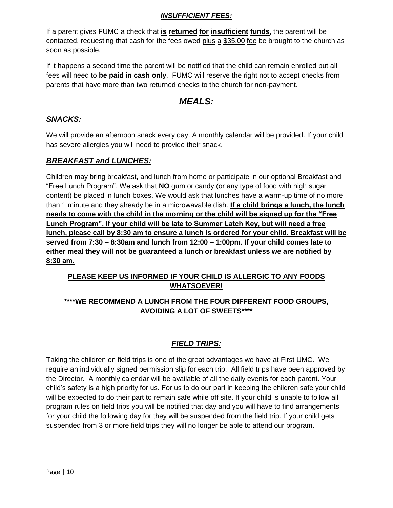#### *INSUFFICIENT FEES:*

If a parent gives FUMC a check that **is returned for insufficient funds**, the parent will be contacted, requesting that cash for the fees owed plus  $a$  \$35.00 fee be brought to the church as soon as possible.

If it happens a second time the parent will be notified that the child can remain enrolled but all fees will need to **be paid in cash only**. FUMC will reserve the right not to accept checks from parents that have more than two returned checks to the church for non-payment.

# *MEALS:*

## *SNACKS:*

We will provide an afternoon snack every day. A monthly calendar will be provided. If your child has severe allergies you will need to provide their snack.

#### *BREAKFAST and LUNCHES:*

Children may bring breakfast, and lunch from home or participate in our optional Breakfast and "Free Lunch Program". We ask that **NO** gum or candy (or any type of food with high sugar content) be placed in lunch boxes. We would ask that lunches have a warm-up time of no more than 1 minute and they already be in a microwavable dish. **If a child brings a lunch, the lunch needs to come with the child in the morning or the child will be signed up for the "Free Lunch Program". If your child will be late to Summer Latch Key, but will need a free lunch, please call by 8:30 am to ensure a lunch is ordered for your child. Breakfast will be served from 7:30 – 8:30am and lunch from 12:00 – 1:00pm. If your child comes late to either meal they will not be guaranteed a lunch or breakfast unless we are notified by 8:30 am.** 

## **PLEASE KEEP US INFORMED IF YOUR CHILD IS ALLERGIC TO ANY FOODS WHATSOEVER!**

#### **\*\*\*\*WE RECOMMEND A LUNCH FROM THE FOUR DIFFERENT FOOD GROUPS, AVOIDING A LOT OF SWEETS\*\*\*\***

## *FIELD TRIPS:*

Taking the children on field trips is one of the great advantages we have at First UMC. We require an individually signed permission slip for each trip. All field trips have been approved by the Director. A monthly calendar will be available of all the daily events for each parent. Your child's safety is a high priority for us. For us to do our part in keeping the children safe your child will be expected to do their part to remain safe while off site. If your child is unable to follow all program rules on field trips you will be notified that day and you will have to find arrangements for your child the following day for they will be suspended from the field trip. If your child gets suspended from 3 or more field trips they will no longer be able to attend our program.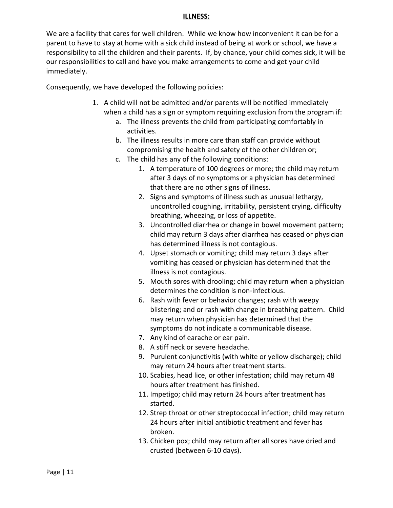#### **ILLNESS:**

We are a facility that cares for well children. While we know how inconvenient it can be for a parent to have to stay at home with a sick child instead of being at work or school, we have a responsibility to all the children and their parents. If, by chance, your child comes sick, it will be our responsibilities to call and have you make arrangements to come and get your child immediately.

Consequently, we have developed the following policies:

- 1. A child will not be admitted and/or parents will be notified immediately when a child has a sign or symptom requiring exclusion from the program if:
	- a. The illness prevents the child from participating comfortably in activities.
	- b. The illness results in more care than staff can provide without compromising the health and safety of the other children or;
	- c. The child has any of the following conditions:
		- 1. A temperature of 100 degrees or more; the child may return after 3 days of no symptoms or a physician has determined that there are no other signs of illness.
		- 2. Signs and symptoms of illness such as unusual lethargy, uncontrolled coughing, irritability, persistent crying, difficulty breathing, wheezing, or loss of appetite.
		- 3. Uncontrolled diarrhea or change in bowel movement pattern; child may return 3 days after diarrhea has ceased or physician has determined illness is not contagious.
		- 4. Upset stomach or vomiting; child may return 3 days after vomiting has ceased or physician has determined that the illness is not contagious.
		- 5. Mouth sores with drooling; child may return when a physician determines the condition is non-infectious.
		- 6. Rash with fever or behavior changes; rash with weepy blistering; and or rash with change in breathing pattern. Child may return when physician has determined that the symptoms do not indicate a communicable disease.
		- 7. Any kind of earache or ear pain.
		- 8. A stiff neck or severe headache.
		- 9. Purulent conjunctivitis (with white or yellow discharge); child may return 24 hours after treatment starts.
		- 10. Scabies, head lice, or other infestation; child may return 48 hours after treatment has finished.
		- 11. Impetigo; child may return 24 hours after treatment has started.
		- 12. Strep throat or other streptococcal infection; child may return 24 hours after initial antibiotic treatment and fever has broken.
		- 13. Chicken pox; child may return after all sores have dried and crusted (between 6-10 days).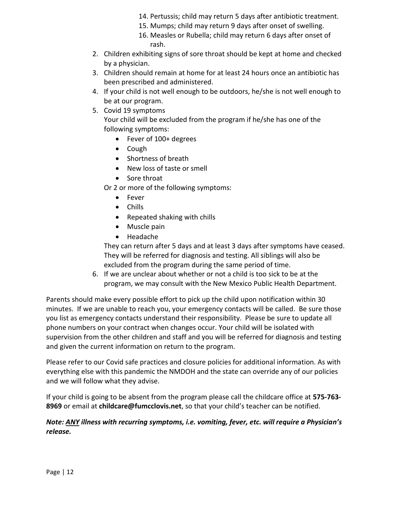- 14. Pertussis; child may return 5 days after antibiotic treatment.
- 15. Mumps; child may return 9 days after onset of swelling.
- 16. Measles or Rubella; child may return 6 days after onset of rash.
- 2. Children exhibiting signs of sore throat should be kept at home and checked by a physician.
- 3. Children should remain at home for at least 24 hours once an antibiotic has been prescribed and administered.
- 4. If your child is not well enough to be outdoors, he/she is not well enough to be at our program.
- 5. Covid 19 symptoms

Your child will be excluded from the program if he/she has one of the following symptoms:

- Fever of 100+ degrees
- Cough
- Shortness of breath
- New loss of taste or smell
- Sore throat

Or 2 or more of the following symptoms:

- Fever
- Chills
- Repeated shaking with chills
- Muscle pain
- Headache

They can return after 5 days and at least 3 days after symptoms have ceased. They will be referred for diagnosis and testing. All siblings will also be excluded from the program during the same period of time.

6. If we are unclear about whether or not a child is too sick to be at the program, we may consult with the New Mexico Public Health Department.

Parents should make every possible effort to pick up the child upon notification within 30 minutes. If we are unable to reach you, your emergency contacts will be called. Be sure those you list as emergency contacts understand their responsibility. Please be sure to update all phone numbers on your contract when changes occur. Your child will be isolated with supervision from the other children and staff and you will be referred for diagnosis and testing and given the current information on return to the program.

Please refer to our Covid safe practices and closure policies for additional information. As with everything else with this pandemic the NMDOH and the state can override any of our policies and we will follow what they advise.

If your child is going to be absent from the program please call the childcare office at **575-763- 8969** or email at **childcare@fumcclovis.net**, so that your child's teacher can be notified.

#### *Note: ANY illness with recurring symptoms, i.e. vomiting, fever, etc. will require a Physician's release.*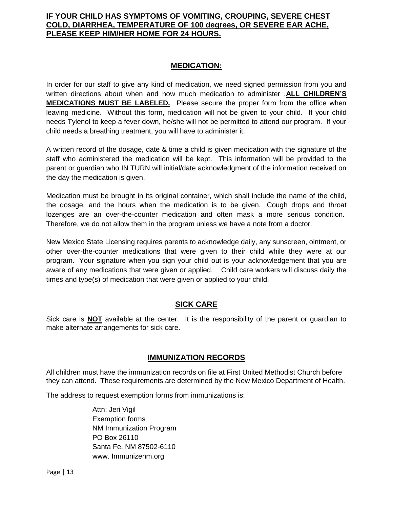#### **IF YOUR CHILD HAS SYMPTOMS OF VOMITING, CROUPING, SEVERE CHEST COLD, DIARRHEA, TEMPERATURE OF 100 degrees, OR SEVERE EAR ACHE, PLEASE KEEP HIM/HER HOME FOR 24 HOURS.**

#### **MEDICATION:**

In order for our staff to give any kind of medication, we need signed permission from you and written directions about when and how much medication to administer .**ALL CHILDREN'S MEDICATIONS MUST BE LABELED.** Please secure the proper form from the office when leaving medicine. Without this form, medication will not be given to your child. If your child needs Tylenol to keep a fever down, he/she will not be permitted to attend our program. If your child needs a breathing treatment, you will have to administer it.

A written record of the dosage, date & time a child is given medication with the signature of the staff who administered the medication will be kept. This information will be provided to the parent or guardian who IN TURN will initial/date acknowledgment of the information received on the day the medication is given.

Medication must be brought in its original container, which shall include the name of the child, the dosage, and the hours when the medication is to be given. Cough drops and throat lozenges are an over-the-counter medication and often mask a more serious condition. Therefore, we do not allow them in the program unless we have a note from a doctor.

New Mexico State Licensing requires parents to acknowledge daily, any sunscreen, ointment, or other over-the-counter medications that were given to their child while they were at our program. Your signature when you sign your child out is your acknowledgement that you are aware of any medications that were given or applied. Child care workers will discuss daily the times and type(s) of medication that were given or applied to your child.

#### **SICK CARE**

Sick care is **NOT** available at the center. It is the responsibility of the parent or guardian to make alternate arrangements for sick care.

#### **IMMUNIZATION RECORDS**

All children must have the immunization records on file at First United Methodist Church before they can attend. These requirements are determined by the New Mexico Department of Health.

The address to request exemption forms from immunizations is:

Attn: Jeri Vigil Exemption forms NM Immunization Program PO Box 26110 Santa Fe, NM 87502-6110 www. Immunizenm.org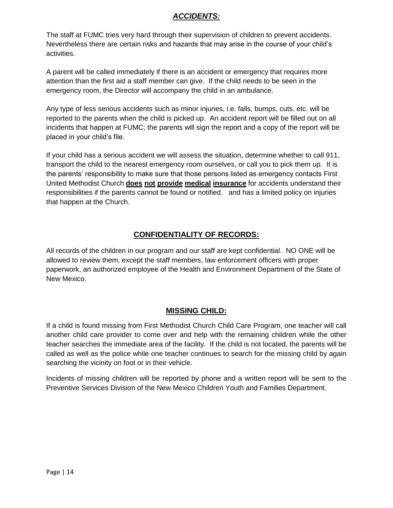### *ACCIDENTS:*

The staff at FUMC tries very hard through their supervision of children to prevent accidents. Nevertheless there are certain risks and hazards that may arise in the course of your child's activities.

A parent will be called immediately if there is an accident or emergency that requires more attention than the first aid a staff member can give. If the child needs to be seen in the emergency room, the Director will accompany the child in an ambulance.

Any type of less serious accidents such as minor injuries, i.e. falls, bumps, cuts. etc. will be reported to the parents when the child is picked up. An accident report will be filled out on all incidents that happen at FUMC; the parents will sign the report and a copy of the report will be placed in your child's file.

If your child has a serious accident we will assess the situation, determine whether to call 911, transport the child to the nearest emergency room ourselves, or call you to pick them up. It is the parents' responsibility to make sure that those persons listed as emergency contacts First United Methodist Church **does not provide medical insurance** for accidents understand their responsibilities if the parents cannot be found or notified. and has a limited policy on injuries that happen at the Church.

## **CONFIDENTIALITY OF RECORDS:**

All records of the children in our program and our staff are kept confidential. NO ONE will be allowed to review them, except the staff members, law enforcement officers with proper paperwork, an authorized employee of the Health and Environment Department of the State of New Mexico.

## **MISSING CHILD:**

If a child is found missing from First Methodist Church Child Care Program, one teacher will call another child care provider to come over and help with the remaining children while the other teacher searches the immediate area of the facility. If the child is not located, the parents will be called as well as the police while one teacher continues to search for the missing child by again searching the vicinity on foot or in their vehicle.

Incidents of missing children will be reported by phone and a written report will be sent to the Preventive Services Division of the New Mexico Children Youth and Families Department.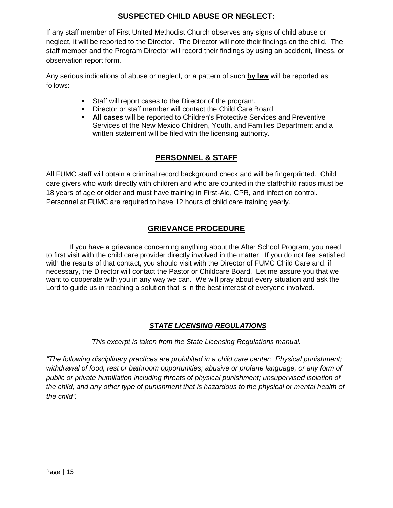### **SUSPECTED CHILD ABUSE OR NEGLECT:**

If any staff member of First United Methodist Church observes any signs of child abuse or neglect, it will be reported to the Director. The Director will note their findings on the child. The staff member and the Program Director will record their findings by using an accident, illness, or observation report form.

Any serious indications of abuse or neglect, or a pattern of such **by law** will be reported as follows:

- Staff will report cases to the Director of the program.
- Director or staff member will contact the Child Care Board
- **All cases** will be reported to Children's Protective Services and Preventive Services of the New Mexico Children, Youth, and Families Department and a written statement will be filed with the licensing authority.

## **PERSONNEL & STAFF**

All FUMC staff will obtain a criminal record background check and will be fingerprinted. Child care givers who work directly with children and who are counted in the staff/child ratios must be 18 years of age or older and must have training in First-Aid, CPR, and infection control. Personnel at FUMC are required to have 12 hours of child care training yearly.

## **GRIEVANCE PROCEDURE**

If you have a grievance concerning anything about the After School Program, you need to first visit with the child care provider directly involved in the matter. If you do not feel satisfied with the results of that contact, you should visit with the Director of FUMC Child Care and, if necessary, the Director will contact the Pastor or Childcare Board. Let me assure you that we want to cooperate with you in any way we can. We will pray about every situation and ask the Lord to guide us in reaching a solution that is in the best interest of everyone involved.

#### *STATE LICENSING REGULATIONS*

*This excerpt is taken from the State Licensing Regulations manual.*

*"The following disciplinary practices are prohibited in a child care center: Physical punishment; withdrawal of food, rest or bathroom opportunities; abusive or profane language, or any form of public or private humiliation including threats of physical punishment; unsupervised isolation of the child; and any other type of punishment that is hazardous to the physical or mental health of the child".*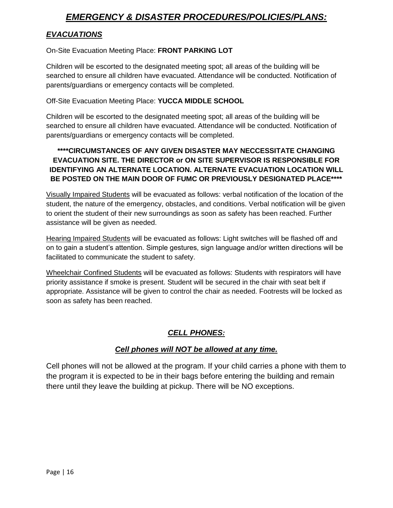# *EMERGENCY & DISASTER PROCEDURES/POLICIES/PLANS:*

## *EVACUATIONS*

#### On-Site Evacuation Meeting Place: **FRONT PARKING LOT**

Children will be escorted to the designated meeting spot; all areas of the building will be searched to ensure all children have evacuated. Attendance will be conducted. Notification of parents/guardians or emergency contacts will be completed.

#### Off-Site Evacuation Meeting Place: **YUCCA MIDDLE SCHOOL**

Children will be escorted to the designated meeting spot; all areas of the building will be searched to ensure all children have evacuated. Attendance will be conducted. Notification of parents/guardians or emergency contacts will be completed.

#### **\*\*\*\*CIRCUMSTANCES OF ANY GIVEN DISASTER MAY NECCESSITATE CHANGING EVACUATION SITE. THE DIRECTOR or ON SITE SUPERVISOR IS RESPONSIBLE FOR IDENTIFYING AN ALTERNATE LOCATION. ALTERNATE EVACUATION LOCATION WILL BE POSTED ON THE MAIN DOOR OF FUMC OR PREVIOUSLY DESIGNATED PLACE\*\*\*\***

Visually Impaired Students will be evacuated as follows: verbal notification of the location of the student, the nature of the emergency, obstacles, and conditions. Verbal notification will be given to orient the student of their new surroundings as soon as safety has been reached. Further assistance will be given as needed.

Hearing Impaired Students will be evacuated as follows: Light switches will be flashed off and on to gain a student's attention. Simple gestures, sign language and/or written directions will be facilitated to communicate the student to safety.

Wheelchair Confined Students will be evacuated as follows: Students with respirators will have priority assistance if smoke is present. Student will be secured in the chair with seat belt if appropriate. Assistance will be given to control the chair as needed. Footrests will be locked as soon as safety has been reached.

## *CELL PHONES:*

#### *Cell phones will NOT be allowed at any time.*

Cell phones will not be allowed at the program. If your child carries a phone with them to the program it is expected to be in their bags before entering the building and remain there until they leave the building at pickup. There will be NO exceptions.